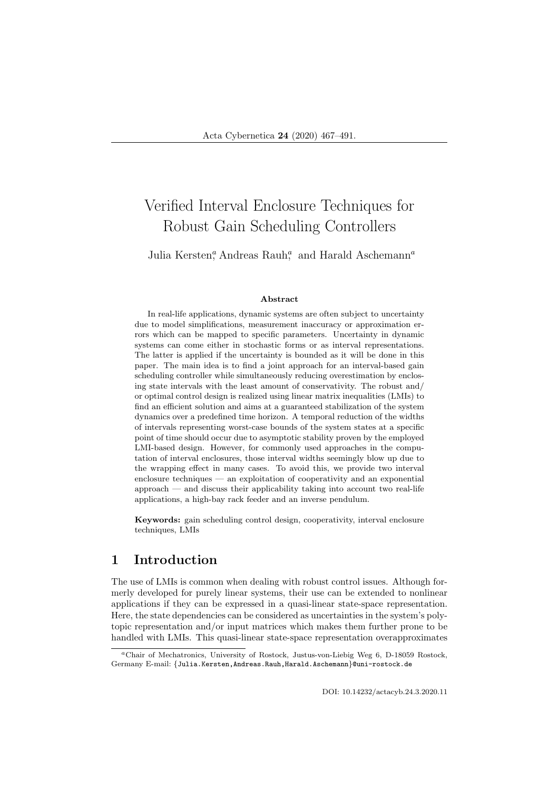# Verified Interval Enclosure Techniques for Robust Gain Scheduling Controllers

Julia Kersten,<sup>a</sup> Andreas Rauh,<sup>a</sup> and Harald Aschemann<sup>a</sup>

#### Abstract

In real-life applications, dynamic systems are often subject to uncertainty due to model simplifications, measurement inaccuracy or approximation errors which can be mapped to specific parameters. Uncertainty in dynamic systems can come either in stochastic forms or as interval representations. The latter is applied if the uncertainty is bounded as it will be done in this paper. The main idea is to find a joint approach for an interval-based gain scheduling controller while simultaneously reducing overestimation by enclosing state intervals with the least amount of conservativity. The robust and/ or optimal control design is realized using linear matrix inequalities (LMIs) to find an efficient solution and aims at a guaranteed stabilization of the system dynamics over a predefined time horizon. A temporal reduction of the widths of intervals representing worst-case bounds of the system states at a specific point of time should occur due to asymptotic stability proven by the employed LMI-based design. However, for commonly used approaches in the computation of interval enclosures, those interval widths seemingly blow up due to the wrapping effect in many cases. To avoid this, we provide two interval enclosure techniques — an exploitation of cooperativity and an exponential approach — and discuss their applicability taking into account two real-life applications, a high-bay rack feeder and an inverse pendulum.

Keywords: gain scheduling control design, cooperativity, interval enclosure techniques, LMIs

# 1 Introduction

The use of LMIs is common when dealing with robust control issues. Although formerly developed for purely linear systems, their use can be extended to nonlinear applications if they can be expressed in a quasi-linear state-space representation. Here, the state dependencies can be considered as uncertainties in the system's polytopic representation and/or input matrices which makes them further prone to be handled with LMIs. This quasi-linear state-space representation overapproximates

DOI: 10.14232/actacyb.24.3.2020.11

<sup>a</sup>Chair of Mechatronics, University of Rostock, Justus-von-Liebig Weg 6, D-18059 Rostock, Germany E-mail: {Julia.Kersten,Andreas.Rauh,Harald.Aschemann}@uni-rostock.de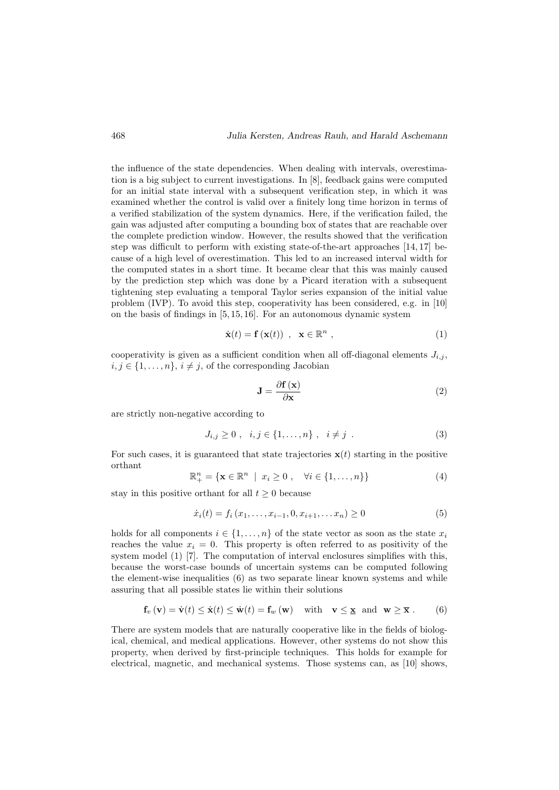the influence of the state dependencies. When dealing with intervals, overestimation is a big subject to current investigations. In [8], feedback gains were computed for an initial state interval with a subsequent verification step, in which it was examined whether the control is valid over a finitely long time horizon in terms of a verified stabilization of the system dynamics. Here, if the verification failed, the gain was adjusted after computing a bounding box of states that are reachable over the complete prediction window. However, the results showed that the verification step was difficult to perform with existing state-of-the-art approaches [14, 17] because of a high level of overestimation. This led to an increased interval width for the computed states in a short time. It became clear that this was mainly caused by the prediction step which was done by a Picard iteration with a subsequent tightening step evaluating a temporal Taylor series expansion of the initial value problem (IVP). To avoid this step, cooperativity has been considered, e.g. in [10] on the basis of findings in [5, 15, 16]. For an autonomous dynamic system

$$
\dot{\mathbf{x}}(t) = \mathbf{f}\left(\mathbf{x}(t)\right) , \quad \mathbf{x} \in \mathbb{R}^n , \tag{1}
$$

cooperativity is given as a sufficient condition when all off-diagonal elements  $J_{i,j}$ .  $i, j \in \{1, \ldots, n\}, i \neq j$ , of the corresponding Jacobian

$$
\mathbf{J} = \frac{\partial \mathbf{f}(\mathbf{x})}{\partial \mathbf{x}} \tag{2}
$$

are strictly non-negative according to

$$
J_{i,j} \ge 0 \; , \; i,j \in \{1, \ldots, n\} \; , \; i \ne j \; . \tag{3}
$$

For such cases, it is guaranteed that state trajectories  $\mathbf{x}(t)$  starting in the positive orthant

$$
\mathbb{R}^n_+ = \{ \mathbf{x} \in \mathbb{R}^n \mid x_i \ge 0 , \quad \forall i \in \{1, \dots, n\} \}
$$
 (4)

stay in this positive orthant for all  $t \geq 0$  because

$$
\dot{x}_i(t) = f_i(x_1, \dots, x_{i-1}, 0, x_{i+1}, \dots, x_n) \ge 0
$$
\n<sup>(5)</sup>

holds for all components  $i \in \{1, \ldots, n\}$  of the state vector as soon as the state  $x_i$ reaches the value  $x_i = 0$ . This property is often referred to as positivity of the system model (1) [7]. The computation of interval enclosures simplifies with this, because the worst-case bounds of uncertain systems can be computed following the element-wise inequalities (6) as two separate linear known systems and while assuring that all possible states lie within their solutions

$$
\mathbf{f}_{v}(\mathbf{v}) = \dot{\mathbf{v}}(t) \leq \dot{\mathbf{x}}(t) \leq \dot{\mathbf{w}}(t) = \mathbf{f}_{w}(\mathbf{w}) \quad \text{with} \quad \mathbf{v} \leq \mathbf{x} \quad \text{and} \quad \mathbf{w} \geq \overline{\mathbf{x}} \ . \tag{6}
$$

There are system models that are naturally cooperative like in the fields of biological, chemical, and medical applications. However, other systems do not show this property, when derived by first-principle techniques. This holds for example for electrical, magnetic, and mechanical systems. Those systems can, as [10] shows,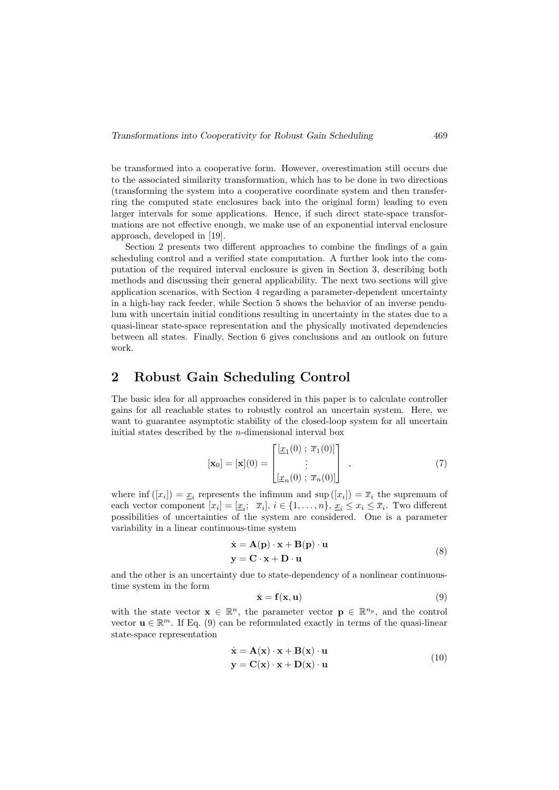be transformed into a cooperative form. However, overestimation still occurs due to the associated similarity transformation, which has to be done in two directions (transforming the system into a cooperative coordinate system and then transferring the computed state enclosures back into the original form) leading to even larger intervals for some applications. Hence, if such direct state-space transformations are not effective enough, we make use of an exponential interval enclosure approach, developed in [19].

Section 2 presents two different approaches to combine the findings of a gain scheduling control and a verified state computation. A further look into the computation of the required interval enclosure is given in Section 3, describing both methods and discussing their general applicability. The next two sections will give application scenarios, with Section 4 regarding a parameter-dependent uncertainty in a high-bay rack feeder, while Section 5 shows the behavior of an inverse pendulum with uncertain initial conditions resulting in uncertainty in the states due to a quasi-linear state-space representation and the physically motivated dependencies between all states. Finally, Section 6 gives conclusions and an outlook on future work.

### 2 Robust Gain Scheduling Control

The basic idea for all approaches considered in this paper is to calculate controller gains for all reachable states to robustly control an uncertain system. Here, we want to guarantee asymptotic stability of the closed-loop system for all uncertain initial states described by the  $n$ -dimensional interval box

$$
[\mathbf{x}_0] = [\mathbf{x}](0) = \begin{bmatrix} [\underline{x}_1(0) \; ; \; \overline{x}_1(0)] \\ \vdots \\ [\underline{x}_n(0) \; ; \; \overline{x}_n(0)] \end{bmatrix} , \qquad (7)
$$

where  $\inf([x_i]) = \underline{x}_i$  represents the infimum and  $\sup([x_i]) = \overline{x}_i$  the supremum of each vector component  $[x_i] = [\underline{x}_i; \ \overline{x}_i], i \in \{1, \ldots, n\}, \underline{x}_i \leq x_i \leq \overline{x}_i$ . Two different possibilities of uncertainties of the system are considered. One is a parameter variability in a linear continuous-time system

$$
\dot{\mathbf{x}} = \mathbf{A}(\mathbf{p}) \cdot \mathbf{x} + \mathbf{B}(\mathbf{p}) \cdot \mathbf{u}
$$
  
\n
$$
\mathbf{y} = \mathbf{C} \cdot \mathbf{x} + \mathbf{D} \cdot \mathbf{u}
$$
 (8)

and the other is an uncertainty due to state-dependency of a nonlinear continuoustime system in the form

$$
\dot{\mathbf{x}} = \mathbf{f}(\mathbf{x}, \mathbf{u}) \tag{9}
$$

with the state vector  $\mathbf{x} \in \mathbb{R}^n$ , the parameter vector  $\mathbf{p} \in \mathbb{R}^{n_p}$ , and the control vector  $\mathbf{u} \in \mathbb{R}^m$ . If Eq. (9) can be reformulated exactly in terms of the quasi-linear state-space representation

$$
\dot{\mathbf{x}} = \mathbf{A}(\mathbf{x}) \cdot \mathbf{x} + \mathbf{B}(\mathbf{x}) \cdot \mathbf{u}
$$
  
\n
$$
\mathbf{y} = \mathbf{C}(\mathbf{x}) \cdot \mathbf{x} + \mathbf{D}(\mathbf{x}) \cdot \mathbf{u}
$$
 (10)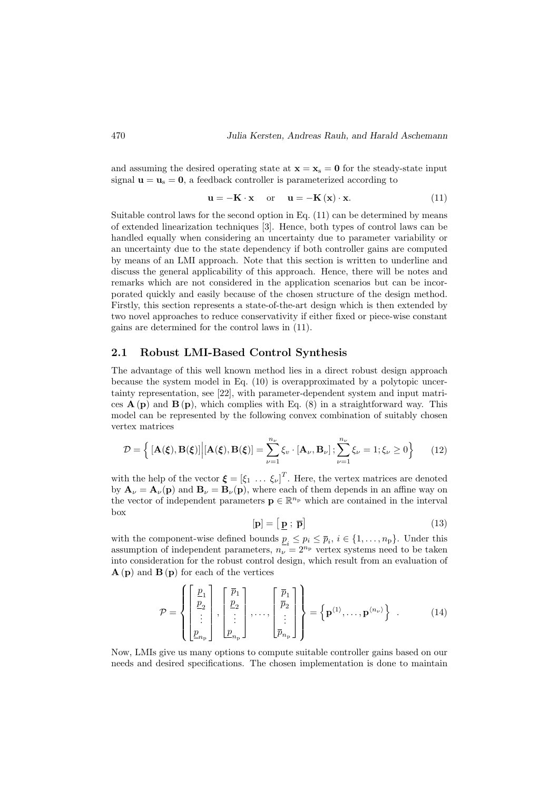and assuming the desired operating state at  $\mathbf{x} = \mathbf{x}_s = \mathbf{0}$  for the steady-state input signal  $\mathbf{u} = \mathbf{u}_s = \mathbf{0}$ , a feedback controller is parameterized according to

$$
\mathbf{u} = -\mathbf{K} \cdot \mathbf{x} \quad \text{or} \quad \mathbf{u} = -\mathbf{K} \left( \mathbf{x} \right) \cdot \mathbf{x}.
$$
 (11)

Suitable control laws for the second option in Eq. (11) can be determined by means of extended linearization techniques [3]. Hence, both types of control laws can be handled equally when considering an uncertainty due to parameter variability or an uncertainty due to the state dependency if both controller gains are computed by means of an LMI approach. Note that this section is written to underline and discuss the general applicability of this approach. Hence, there will be notes and remarks which are not considered in the application scenarios but can be incorporated quickly and easily because of the chosen structure of the design method. Firstly, this section represents a state-of-the-art design which is then extended by two novel approaches to reduce conservativity if either fixed or piece-wise constant gains are determined for the control laws in (11).

#### 2.1 Robust LMI-Based Control Synthesis

The advantage of this well known method lies in a direct robust design approach because the system model in Eq. (10) is overapproximated by a polytopic uncertainty representation, see [22], with parameter-dependent system and input matrices  $\mathbf{A}(\mathbf{p})$  and  $\mathbf{B}(\mathbf{p})$ , which complies with Eq. (8) in a straightforward way. This model can be represented by the following convex combination of suitably chosen vertex matrices

$$
\mathcal{D} = \left\{ \left[ \mathbf{A}(\boldsymbol{\xi}), \mathbf{B}(\boldsymbol{\xi}) \right] \middle| \left[ \mathbf{A}(\boldsymbol{\xi}), \mathbf{B}(\boldsymbol{\xi}) \right] = \sum_{\nu=1}^{n_{\nu}} \xi_{\nu} \cdot \left[ \mathbf{A}_{\nu}, \mathbf{B}_{\nu} \right]; \sum_{\nu=1}^{n_{\nu}} \xi_{\nu} = 1; \xi_{\nu} \ge 0 \right\} \tag{12}
$$

with the help of the vector  $\boldsymbol{\xi} = [\xi_1 \dots \xi_{\nu}]^T$ . Here, the vertex matrices are denoted by  $\mathbf{A}_{\nu} = \mathbf{A}_{\nu}(\mathbf{p})$  and  $\mathbf{B}_{\nu} = \mathbf{B}_{\nu}(\mathbf{p})$ , where each of them depends in an affine way on the vector of independent parameters  $\mathbf{p} \in \mathbb{R}^{n_p}$  which are contained in the interval box

$$
[\mathbf{p}] = [\mathbf{p} \, ; \, \overline{\mathbf{p}}] \tag{13}
$$

with the component-wise defined bounds  $\underline{p}_i \leq p_i \leq \overline{p}_i, i \in \{1, \ldots, n_{\text{p}}\}$ . Under this assumption of independent parameters,  $n_{\nu} = 2^{n_{\rm p}}$  vertex systems need to be taken into consideration for the robust control design, which result from an evaluation of  $\mathbf{A}(\mathbf{p})$  and  $\mathbf{B}(\mathbf{p})$  for each of the vertices

$$
\mathcal{P} = \left\{ \begin{bmatrix} \underline{p}_1 \\ \underline{p}_2 \\ \vdots \\ \underline{p}_{n_{\rm p}} \end{bmatrix}, \begin{bmatrix} \overline{p}_1 \\ \underline{p}_2 \\ \vdots \\ \underline{p}_{n_{\rm p}} \end{bmatrix}, \dots, \begin{bmatrix} \overline{p}_1 \\ \overline{p}_2 \\ \vdots \\ \overline{p}_{n_{\rm p}} \end{bmatrix} \right\} = \left\{ \mathbf{p}^{\langle 1 \rangle}, \dots, \mathbf{p}^{\langle n_{\nu} \rangle} \right\} . \tag{14}
$$

Now, LMIs give us many options to compute suitable controller gains based on our needs and desired specifications. The chosen implementation is done to maintain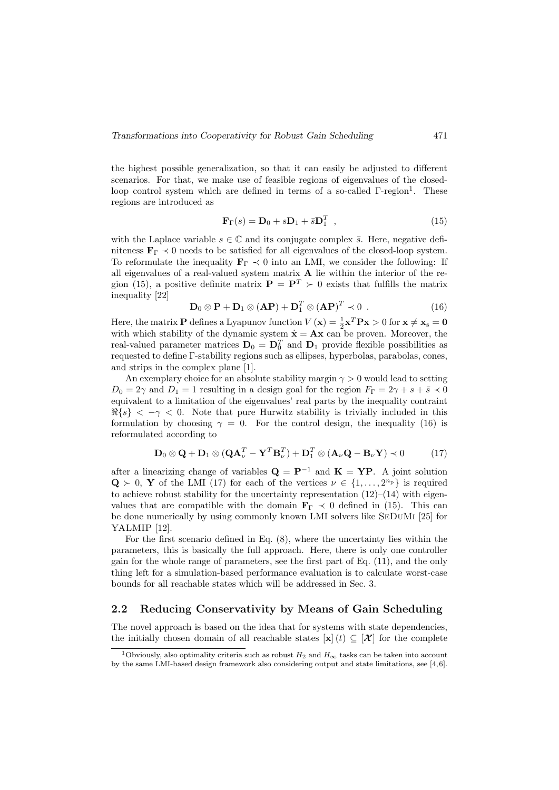the highest possible generalization, so that it can easily be adjusted to different scenarios. For that, we make use of feasible regions of eigenvalues of the closedloop control system which are defined in terms of a so-called  $\Gamma$ -region<sup>1</sup>. These regions are introduced as

$$
\mathbf{F}_{\Gamma}(s) = \mathbf{D}_0 + s\mathbf{D}_1 + \bar{s}\mathbf{D}_1^T \tag{15}
$$

with the Laplace variable  $s \in \mathbb{C}$  and its conjugate complex  $\bar{s}$ . Here, negative definiteness  $\mathbf{F}_{\Gamma} \prec 0$  needs to be satisfied for all eigenvalues of the closed-loop system. To reformulate the inequality  $\mathbf{F}_{\Gamma} \prec 0$  into an LMI, we consider the following: If all eigenvalues of a real-valued system matrix  $A$  lie within the interior of the region (15), a positive definite matrix  $\mathbf{P} = \mathbf{P}^T \succ 0$  exists that fulfills the matrix inequality [22]

$$
\mathbf{D}_0 \otimes \mathbf{P} + \mathbf{D}_1 \otimes (\mathbf{A}\mathbf{P}) + \mathbf{D}_1^T \otimes (\mathbf{A}\mathbf{P})^T \prec 0 . \tag{16}
$$

Here, the matrix **P** defines a Lyapunov function  $V(\mathbf{x}) = \frac{1}{2}\mathbf{x}^T \mathbf{P} \mathbf{x} > 0$  for  $\mathbf{x} \neq \mathbf{x}_s = \mathbf{0}$ with which stability of the dynamic system  $\dot{\mathbf{x}} = \mathbf{A}\mathbf{x}$  can be proven. Moreover, the real-valued parameter matrices  $D_0 = D_0^T$  and  $D_1$  provide flexible possibilities as requested to define Γ-stability regions such as ellipses, hyperbolas, parabolas, cones, and strips in the complex plane [1].

An exemplary choice for an absolute stability margin  $\gamma > 0$  would lead to setting  $D_0 = 2\gamma$  and  $D_1 = 1$  resulting in a design goal for the region  $F_{\Gamma} = 2\gamma + s + \overline{s} \prec 0$ equivalent to a limitation of the eigenvalues' real parts by the inequality contraint  $\Re\{s\} < -\gamma < 0$ . Note that pure Hurwitz stability is trivially included in this formulation by choosing  $\gamma = 0$ . For the control design, the inequality (16) is reformulated according to

$$
\mathbf{D}_0 \otimes \mathbf{Q} + \mathbf{D}_1 \otimes (\mathbf{Q} \mathbf{A}_{\nu}^T - \mathbf{Y}^T \mathbf{B}_{\nu}^T) + \mathbf{D}_1^T \otimes (\mathbf{A}_{\nu} \mathbf{Q} - \mathbf{B}_{\nu} \mathbf{Y}) \prec 0 \tag{17}
$$

after a linearizing change of variables  $\mathbf{Q} = \mathbf{P}^{-1}$  and  $\mathbf{K} = \mathbf{Y} \mathbf{P}$ . A joint solution  $\mathbf{Q} \succ 0$ , Y of the LMI (17) for each of the vertices  $\nu \in \{1, \ldots, 2^{n_p}\}\$ is required to achieve robust stability for the uncertainty representation  $(12)$ – $(14)$  with eigenvalues that are compatible with the domain  $\mathbf{F}_{\Gamma} \prec 0$  defined in (15). This can be done numerically by using commonly known LMI solvers like SeDuMi [25] for YALMIP [12].

For the first scenario defined in Eq. (8), where the uncertainty lies within the parameters, this is basically the full approach. Here, there is only one controller gain for the whole range of parameters, see the first part of Eq. (11), and the only thing left for a simulation-based performance evaluation is to calculate worst-case bounds for all reachable states which will be addressed in Sec. 3.

#### 2.2 Reducing Conservativity by Means of Gain Scheduling

The novel approach is based on the idea that for systems with state dependencies, the initially chosen domain of all reachable states  $[\mathbf{x}] (t) \subseteq [\mathcal{X}]$  for the complete

<sup>&</sup>lt;sup>1</sup>Obviously, also optimality criteria such as robust  $H_2$  and  $H_{\infty}$  tasks can be taken into account by the same LMI-based design framework also considering output and state limitations, see [4, 6].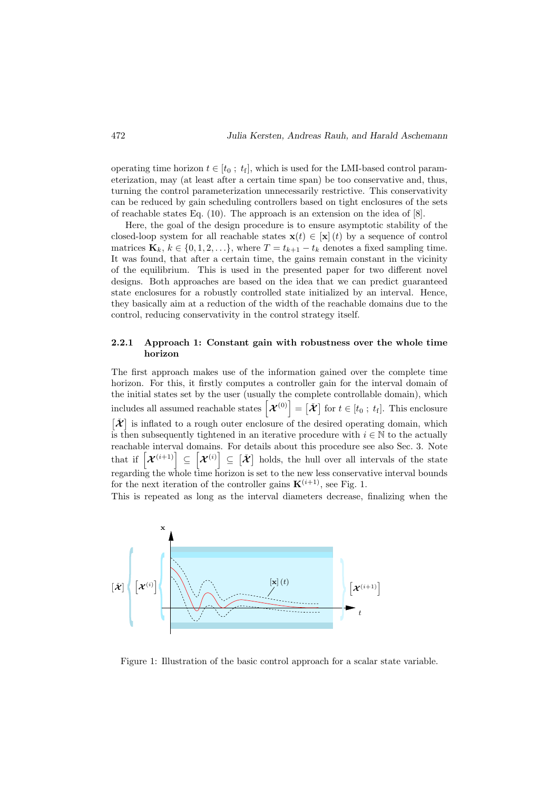operating time horizon  $t \in [t_0; t_f]$ , which is used for the LMI-based control parameterization, may (at least after a certain time span) be too conservative and, thus, turning the control parameterization unnecessarily restrictive. This conservativity can be reduced by gain scheduling controllers based on tight enclosures of the sets of reachable states Eq. (10). The approach is an extension on the idea of [8].

Here, the goal of the design procedure is to ensure asymptotic stability of the closed-loop system for all reachable states  $\mathbf{x}(t) \in [\mathbf{x}]$  (t) by a sequence of control matrices  $\mathbf{K}_k, k \in \{0, 1, 2, \ldots\}$ , where  $T = t_{k+1} - t_k$  denotes a fixed sampling time. It was found, that after a certain time, the gains remain constant in the vicinity of the equilibrium. This is used in the presented paper for two different novel designs. Both approaches are based on the idea that we can predict guaranteed state enclosures for a robustly controlled state initialized by an interval. Hence, they basically aim at a reduction of the width of the reachable domains due to the control, reducing conservativity in the control strategy itself.

#### 2.2.1 Approach 1: Constant gain with robustness over the whole time horizon

The first approach makes use of the information gained over the complete time horizon. For this, it firstly computes a controller gain for the interval domain of the initial states set by the user (usually the complete controllable domain), which includes all assumed reachable states  $\left[\mathcal{X}^{(0)}\right] = \left[\check{\mathcal{X}}\right]$  for  $t \in [t_0; t_f]$ . This enclosure  $\vec{X}$  is inflated to a rough outer enclosure of the desired operating domain, which is then subsequently tightened in an iterative procedure with  $i \in \mathbb{N}$  to the actually reachable interval domains. For details about this procedure see also Sec. 3. Note that if  $[\mathcal{X}^{(i+1)}] \subseteq [\mathcal{X}^{(i)}] \subseteq [\mathcal{X}]$  holds, the hull over all intervals of the state regarding the whole time horizon is set to the new less conservative interval bounds for the next iteration of the controller gains  $\mathbf{K}^{(i+1)}$ , see Fig. 1.

This is repeated as long as the interval diameters decrease, finalizing when the



Figure 1: Illustration of the basic control approach for a scalar state variable.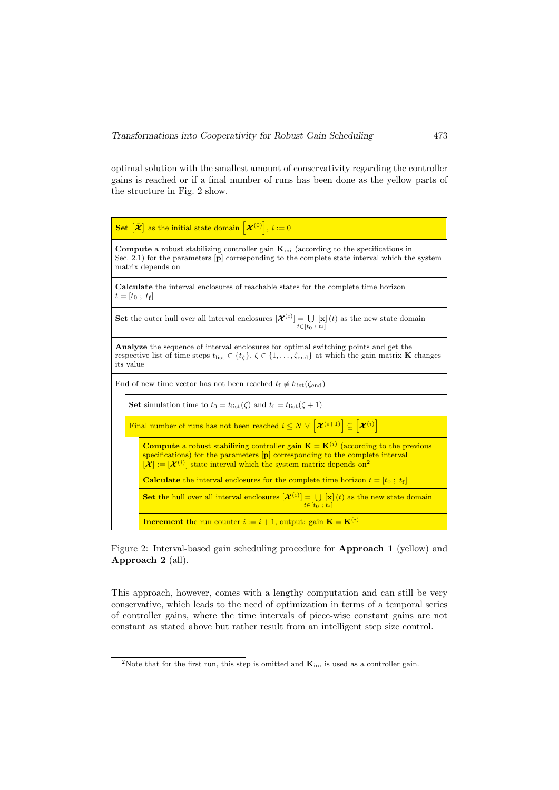optimal solution with the smallest amount of conservativity regarding the controller gains is reached or if a final number of runs has been done as the yellow parts of the structure in Fig. 2 show.



Figure 2: Interval-based gain scheduling procedure for Approach 1 (yellow) and Approach 2 (all).

This approach, however, comes with a lengthy computation and can still be very conservative, which leads to the need of optimization in terms of a temporal series of controller gains, where the time intervals of piece-wise constant gains are not constant as stated above but rather result from an intelligent step size control.

<sup>&</sup>lt;sup>2</sup>Note that for the first run, this step is omitted and  $\mathbf{K}_{\text{ini}}$  is used as a controller gain.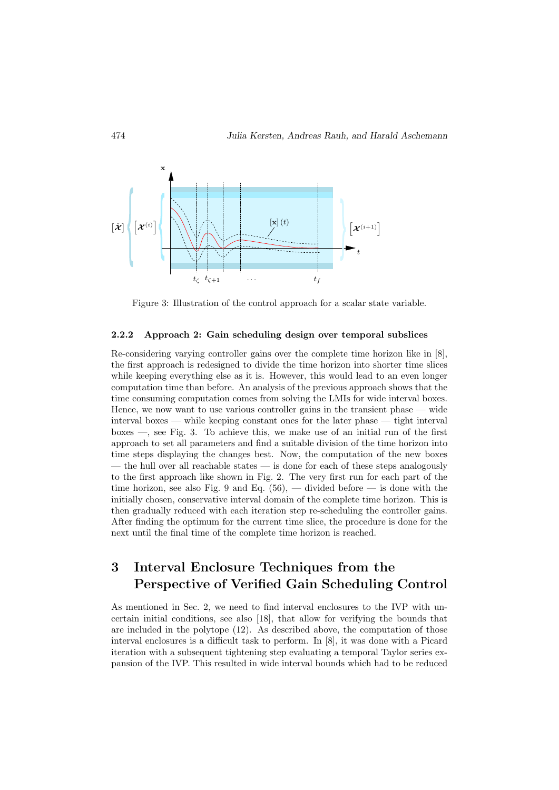

Figure 3: Illustration of the control approach for a scalar state variable.

#### 2.2.2 Approach 2: Gain scheduling design over temporal subslices

Re-considering varying controller gains over the complete time horizon like in [8], the first approach is redesigned to divide the time horizon into shorter time slices while keeping everything else as it is. However, this would lead to an even longer computation time than before. An analysis of the previous approach shows that the time consuming computation comes from solving the LMIs for wide interval boxes. Hence, we now want to use various controller gains in the transient phase — wide interval boxes — while keeping constant ones for the later phase — tight interval boxes —, see Fig. 3. To achieve this, we make use of an initial run of the first approach to set all parameters and find a suitable division of the time horizon into time steps displaying the changes best. Now, the computation of the new boxes — the hull over all reachable states — is done for each of these steps analogously to the first approach like shown in Fig. 2. The very first run for each part of the time horizon, see also Fig. 9 and Eq.  $(56)$ , — divided before — is done with the initially chosen, conservative interval domain of the complete time horizon. This is then gradually reduced with each iteration step re-scheduling the controller gains. After finding the optimum for the current time slice, the procedure is done for the next until the final time of the complete time horizon is reached.

# 3 Interval Enclosure Techniques from the Perspective of Verified Gain Scheduling Control

As mentioned in Sec. 2, we need to find interval enclosures to the IVP with uncertain initial conditions, see also [18], that allow for verifying the bounds that are included in the polytope (12). As described above, the computation of those interval enclosures is a difficult task to perform. In [8], it was done with a Picard iteration with a subsequent tightening step evaluating a temporal Taylor series expansion of the IVP. This resulted in wide interval bounds which had to be reduced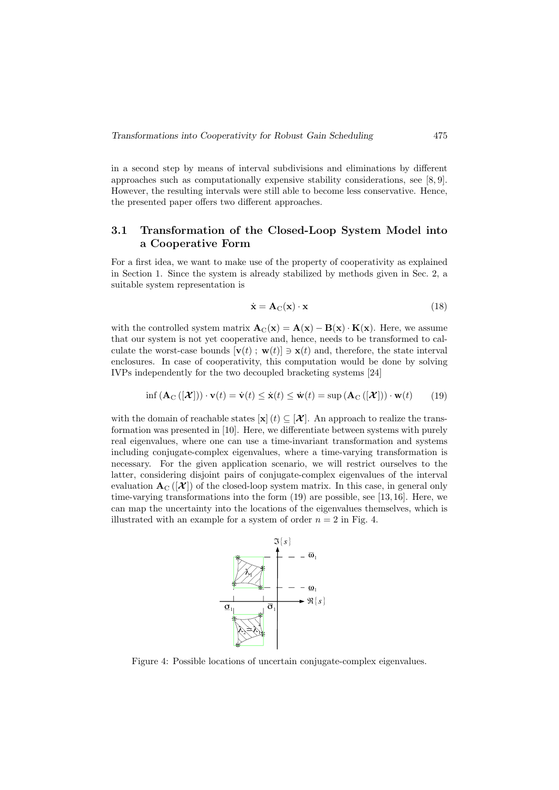in a second step by means of interval subdivisions and eliminations by different approaches such as computationally expensive stability considerations, see [8, 9]. However, the resulting intervals were still able to become less conservative. Hence, the presented paper offers two different approaches.

#### 3.1 Transformation of the Closed-Loop System Model into a Cooperative Form

For a first idea, we want to make use of the property of cooperativity as explained in Section 1. Since the system is already stabilized by methods given in Sec. 2, a suitable system representation is

$$
\dot{\mathbf{x}} = \mathbf{A}_{\mathrm{C}}(\mathbf{x}) \cdot \mathbf{x} \tag{18}
$$

with the controlled system matrix  $\mathbf{A}_{C}(\mathbf{x}) = \mathbf{A}(\mathbf{x}) - \mathbf{B}(\mathbf{x}) \cdot \mathbf{K}(\mathbf{x})$ . Here, we assume that our system is not yet cooperative and, hence, needs to be transformed to calculate the worst-case bounds  $[\mathbf{v}(t) : \mathbf{w}(t)] \ni \mathbf{x}(t)$  and, therefore, the state interval enclosures. In case of cooperativity, this computation would be done by solving IVPs independently for the two decoupled bracketing systems [24]

$$
\inf \left( \mathbf{A}_{\mathrm{C}}\left( \left[ \mathcal{X} \right] \right) \right) \cdot \mathbf{v}(t) = \dot{\mathbf{v}}(t) \le \dot{\mathbf{x}}(t) \le \dot{\mathbf{w}}(t) = \sup \left( \mathbf{A}_{\mathrm{C}}\left( \left[ \mathcal{X} \right] \right) \right) \cdot \mathbf{w}(t) \tag{19}
$$

with the domain of reachable states  $[\mathbf{x}](t) \subseteq [\mathcal{X}]$ . An approach to realize the transformation was presented in [10]. Here, we differentiate between systems with purely real eigenvalues, where one can use a time-invariant transformation and systems including conjugate-complex eigenvalues, where a time-varying transformation is necessary. For the given application scenario, we will restrict ourselves to the latter, considering disjoint pairs of conjugate-complex eigenvalues of the interval evaluation  $A_C(|\mathcal{X}|)$  of the closed-loop system matrix. In this case, in general only time-varying transformations into the form (19) are possible, see [13, 16]. Here, we can map the uncertainty into the locations of the eigenvalues themselves, which is illustrated with an example for a system of order  $n = 2$  in Fig. 4.



Figure 4: Possible locations of uncertain conjugate-complex eigenvalues.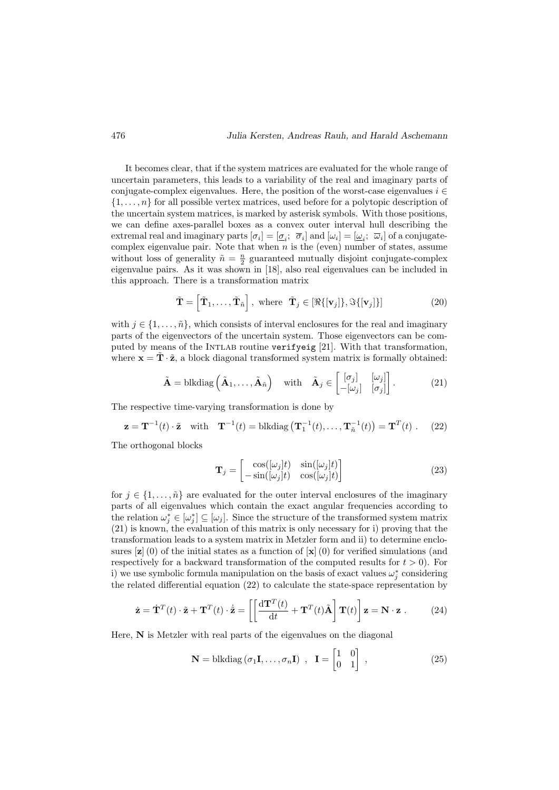It becomes clear, that if the system matrices are evaluated for the whole range of uncertain parameters, this leads to a variability of the real and imaginary parts of conjugate-complex eigenvalues. Here, the position of the worst-case eigenvalues  $i \in$  $\{1, \ldots, n\}$  for all possible vertex matrices, used before for a polytopic description of the uncertain system matrices, is marked by asterisk symbols. With those positions, we can define axes-parallel boxes as a convex outer interval hull describing the extremal real and imaginary parts  $[\sigma_i] = [\underline{\sigma}_i; \ \overline{\sigma}_i]$  and  $[\omega_i] = [\underline{\omega}_i; \ \overline{\omega}_i]$  of a conjugatecomplex eigenvalue pair. Note that when  $n$  is the (even) number of states, assume without loss of generality  $\tilde{n} = \frac{n}{2}$  guaranteed mutually disjoint conjugate-complex eigenvalue pairs. As it was shown in [18], also real eigenvalues can be included in this approach. There is a transformation matrix

$$
\tilde{\mathbf{T}} = \left[ \tilde{\mathbf{T}}_1, \dots, \tilde{\mathbf{T}}_{\tilde{n}} \right], \text{ where } \tilde{\mathbf{T}}_j \in [\Re\{[\mathbf{v}_j]\}, \Im\{[\mathbf{v}_j]\}] \tag{20}
$$

with  $j \in \{1, \ldots, \tilde{n}\}\$ , which consists of interval enclosures for the real and imaginary parts of the eigenvectors of the uncertain system. Those eigenvectors can be computed by means of the Intlab routine verifyeig [21]. With that transformation, where  $\mathbf{x} = \mathbf{\hat{T}} \cdot \tilde{\mathbf{z}}$ , a block diagonal transformed system matrix is formally obtained:

$$
\tilde{\mathbf{A}} = \text{blkdiag}\left(\tilde{\mathbf{A}}_1, \dots, \tilde{\mathbf{A}}_{\tilde{n}}\right) \quad \text{with} \quad \tilde{\mathbf{A}}_j \in \begin{bmatrix} [\sigma_j] & [\omega_j] \\ -[\omega_j] & [\sigma_j] \end{bmatrix}.
$$
 (21)

The respective time-varying transformation is done by

$$
\mathbf{z} = \mathbf{T}^{-1}(t) \cdot \tilde{\mathbf{z}} \quad \text{with} \quad \mathbf{T}^{-1}(t) = \text{blkdiag}\left(\mathbf{T}_1^{-1}(t), \dots, \mathbf{T}_n^{-1}(t)\right) = \mathbf{T}^T(t) \ . \tag{22}
$$

The orthogonal blocks

$$
\mathbf{T}_{j} = \begin{bmatrix} \cos([\omega_{j}]t) & \sin([\omega_{j}]t) \\ -\sin([\omega_{j}]t) & \cos([\omega_{j}]t) \end{bmatrix}
$$
(23)

for  $j \in \{1, \ldots, \tilde{n}\}\$ are evaluated for the outer interval enclosures of the imaginary parts of all eigenvalues which contain the exact angular frequencies according to the relation  $\omega_j^* \in [\omega_j^*] \subseteq [\omega_j]$ . Since the structure of the transformed system matrix (21) is known, the evaluation of this matrix is only necessary for i) proving that the transformation leads to a system matrix in Metzler form and ii) to determine enclosures  $[\mathbf{z}]$  (0) of the initial states as a function of  $[\mathbf{x}]$  (0) for verified simulations (and respectively for a backward transformation of the computed results for  $t > 0$ . For i) we use symbolic formula manipulation on the basis of exact values  $\omega_j^*$  considering the related differential equation (22) to calculate the state-space representation by

$$
\dot{\mathbf{z}} = \dot{\mathbf{T}}^T(t) \cdot \tilde{\mathbf{z}} + \mathbf{T}^T(t) \cdot \dot{\tilde{\mathbf{z}}} = \left[ \left[ \frac{\mathrm{d} \mathbf{T}^T(t)}{\mathrm{d} t} + \mathbf{T}^T(t) \tilde{\mathbf{A}} \right] \mathbf{T}(t) \right] \mathbf{z} = \mathbf{N} \cdot \mathbf{z} . \tag{24}
$$

Here, N is Metzler with real parts of the eigenvalues on the diagonal

$$
\mathbf{N} = \text{blkdiag}(\sigma_1 \mathbf{I}, \dots, \sigma_n \mathbf{I}) \ , \ \mathbf{I} = \begin{bmatrix} 1 & 0 \\ 0 & 1 \end{bmatrix} \ , \tag{25}
$$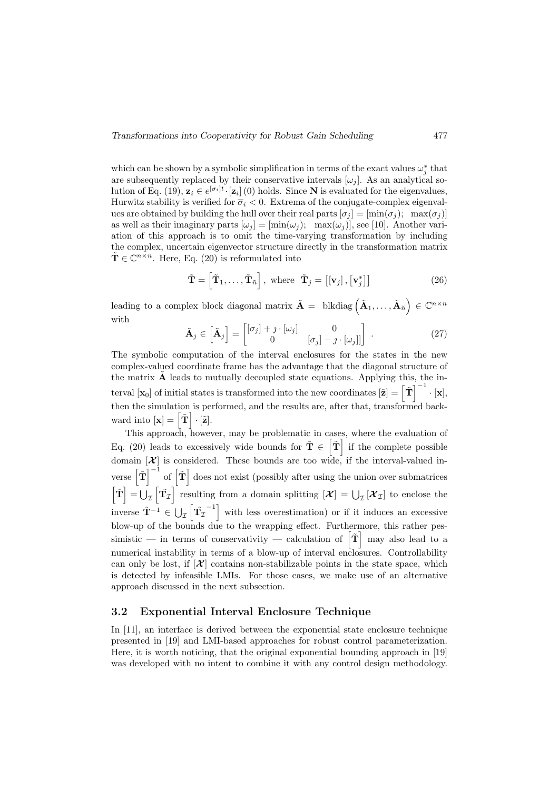which can be shown by a symbolic simplification in terms of the exact values  $\omega_j^*$  that are subsequently replaced by their conservative intervals  $[\omega_i]$ . As an analytical solution of Eq. (19),  $\mathbf{z}_i \in e^{[\sigma_i]t} \cdot [\mathbf{z}_i]$  (0) holds. Since N is evaluated for the eigenvalues, Hurwitz stability is verified for  $\overline{\sigma}_i < 0$ . Extrema of the conjugate-complex eigenvalues are obtained by building the hull over their real parts  $[\sigma_j] = [\min(\sigma_j); \max(\sigma_j)]$ as well as their imaginary parts  $[\omega_j] = [\min(\omega_j); \max(\omega_j)]$ , see [10]. Another variation of this approach is to omit the time-varying transformation by including the complex, uncertain eigenvector structure directly in the transformation matrix  $\tilde{\mathbf{T}} \in \mathbb{C}^{n \times n}$ . Here, Eq. (20) is reformulated into

$$
\tilde{\mathbf{T}} = \left[ \tilde{\mathbf{T}}_1, \dots, \tilde{\mathbf{T}}_{\tilde{n}} \right], \text{ where } \tilde{\mathbf{T}}_j = \left[ [\mathbf{v}_j], [\mathbf{v}_j^*] \right] \tag{26}
$$

leading to a complex block diagonal matrix  $\tilde{\mathbf{A}} = \text{blkdiag}\left(\tilde{\mathbf{A}}_1, \ldots, \tilde{\mathbf{A}}_{n}\right) \in \mathbb{C}^{n \times n}$ with

$$
\tilde{\mathbf{A}}_{j} \in \begin{bmatrix} \tilde{\mathbf{A}}_{j} \end{bmatrix} = \begin{bmatrix} [\sigma_{j}] + \jmath \cdot [\omega_{j}] & 0 \\ 0 & [\sigma_{j}] - \jmath \cdot [\omega_{j}]] \end{bmatrix} . \tag{27}
$$

The symbolic computation of the interval enclosures for the states in the new complex-valued coordinate frame has the advantage that the diagonal structure of the matrix  $\ddot{A}$  leads to mutually decoupled state equations. Applying this, the interval  $[\mathbf{x}_0]$  of initial states is transformed into the new coordinates  $[\tilde{\mathbf{z}}] = \begin{bmatrix} \tilde{\mathbf{T}} \end{bmatrix}^{-1} \cdot [\mathbf{x}],$ then the simulation is performed, and the results are, after that, transformed backward into  $[\mathbf{x}] = [\tilde{\mathbf{T}}] \cdot [\tilde{\mathbf{z}}].$ 

This approach, however, may be problematic in cases, where the evaluation of Eq. (20) leads to excessively wide bounds for  $\tilde{\mathbf{T}} \in [\tilde{\mathbf{T}}]$  if the complete possible domain  $[\mathcal{X}]$  is considered. These bounds are too wide, if the interval-valued inverse  $\left[\tilde{T}\right]^{-1}$  of  $\left[\tilde{T}\right]$  does not exist (possibly after using the union over submatrices  $\left[\tilde{\mathbf{T}}\right] = \bigcup_{\mathcal{I}} \left[\tilde{\mathbf{T}}_{\mathcal{I}}\right]$  resulting from a domain splitting  $\left[\mathcal{X}\right] = \bigcup_{\mathcal{I}} \left[\mathcal{X}_{\mathcal{I}}\right]$  to enclose the inverse  $\tilde{\mathbf{T}}^{-1} \in \bigcup_{\mathcal{I}} \left[ \tilde{\mathbf{T}_{\mathcal{I}}} \right]$  $\begin{bmatrix} -1 \\ 1 \end{bmatrix}$  with less overestimation) or if it induces an excessive blow-up of the bounds due to the wrapping effect. Furthermore, this rather pessimistic — in terms of conservativity — calculation of  $\left[\tilde{\mathbf{T}}\right]$  may also lead to a numerical instability in terms of a blow-up of interval enclosures. Controllability can only be lost, if  $[\mathcal{X}]$  contains non-stabilizable points in the state space, which is detected by infeasible LMIs. For those cases, we make use of an alternative approach discussed in the next subsection.

#### 3.2 Exponential Interval Enclosure Technique

In [11], an interface is derived between the exponential state enclosure technique presented in [19] and LMI-based approaches for robust control parameterization. Here, it is worth noticing, that the original exponential bounding approach in [19] was developed with no intent to combine it with any control design methodology.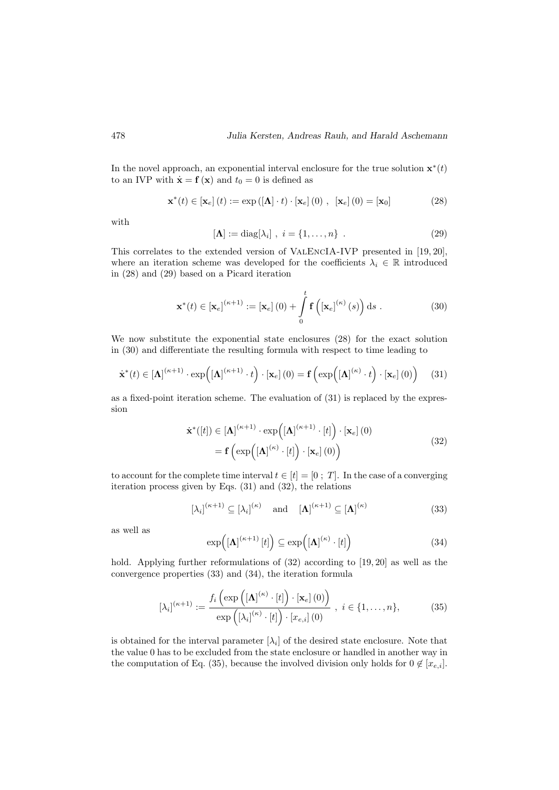In the novel approach, an exponential interval enclosure for the true solution  $\mathbf{x}^*(t)$ to an IVP with  $\dot{\mathbf{x}} = \mathbf{f}(\mathbf{x})$  and  $t_0 = 0$  is defined as

$$
\mathbf{x}^*(t) \in [\mathbf{x}_e] (t) := \exp([\mathbf{\Lambda}] \cdot t) \cdot [\mathbf{x}_e] (0) , [\mathbf{x}_e] (0) = [\mathbf{x}_0]
$$
 (28)

with

$$
[\mathbf{\Lambda}] := \text{diag}[\lambda_i], \quad i = \{1, \dots, n\} \tag{29}
$$

This correlates to the extended version of ValEncIA-IVP presented in [19, 20], where an iteration scheme was developed for the coefficients  $\lambda_i \in \mathbb{R}$  introduced in (28) and (29) based on a Picard iteration

$$
\mathbf{x}^{*}(t) \in [\mathbf{x}_{e}]^{(\kappa+1)} := [\mathbf{x}_{e}] \left(0\right) + \int_{0}^{t} \mathbf{f}\left([\mathbf{x}_{e}]^{(\kappa)}\left(s\right)\right) \mathrm{d}s . \tag{30}
$$

We now substitute the exponential state enclosures (28) for the exact solution in (30) and differentiate the resulting formula with respect to time leading to

$$
\dot{\mathbf{x}}^{*}(t) \in [\mathbf{\Lambda}]^{(\kappa+1)} \cdot \exp\left([\mathbf{\Lambda}]^{(\kappa+1)} \cdot t\right) \cdot [\mathbf{x}_{e}] \left(0\right) = \mathbf{f}\left(\exp\left([\mathbf{\Lambda}]^{(\kappa)} \cdot t\right) \cdot [\mathbf{x}_{e}] \left(0\right)\right) \tag{31}
$$

as a fixed-point iteration scheme. The evaluation of (31) is replaced by the expression

$$
\dot{\mathbf{x}}^{*}([t]) \in [\mathbf{\Lambda}]^{(\kappa+1)} \cdot \exp([\mathbf{\Lambda}]^{(\kappa+1)} \cdot [t]) \cdot [\mathbf{x}_e] \cdot (0)
$$
\n
$$
= \mathbf{f} \left( \exp([\mathbf{\Lambda}]^{(\kappa)} \cdot [t]) \cdot [\mathbf{x}_e] \cdot (0) \right) \tag{32}
$$

to account for the complete time interval  $t \in [t] = [0; T]$ . In the case of a converging iteration process given by Eqs. (31) and (32), the relations

$$
[\lambda_i]^{(\kappa+1)} \subseteq [\lambda_i]^{(\kappa)} \quad \text{and} \quad [\mathbf{\Lambda}]^{(\kappa+1)} \subseteq [\mathbf{\Lambda}]^{(\kappa)} \tag{33}
$$

as well as

$$
\exp\left(\left[\mathbf{\Lambda}\right]^{(\kappa+1)}[t]\right) \subseteq \exp\left(\left[\mathbf{\Lambda}\right]^{(\kappa)}\cdot[t]\right) \tag{34}
$$

hold. Applying further reformulations of  $(32)$  according to  $[19, 20]$  as well as the convergence properties (33) and (34), the iteration formula

$$
\left[\lambda_i\right]^{(\kappa+1)} := \frac{f_i\left(\exp\left(\left[\mathbf{\Lambda}\right]^{(\kappa)} \cdot [t]\right) \cdot [\mathbf{x}_e] \cdot (0)\right)}{\exp\left(\left[\lambda_i\right]^{(\kappa)} \cdot [t]\right) \cdot [x_{e,i}] \cdot (0)}, \quad i \in \{1, \dots, n\},\tag{35}
$$

is obtained for the interval parameter  $[\lambda_i]$  of the desired state enclosure. Note that the value 0 has to be excluded from the state enclosure or handled in another way in the computation of Eq. (35), because the involved division only holds for  $0 \notin [x_{e,i}]$ .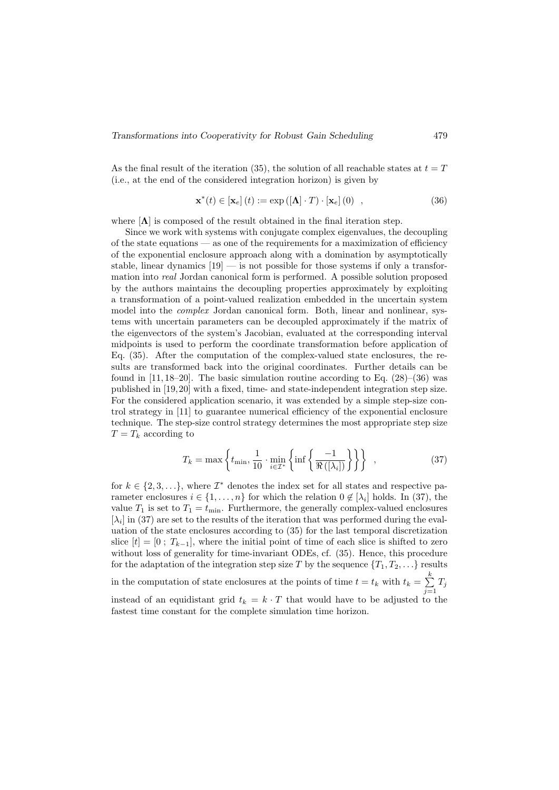As the final result of the iteration (35), the solution of all reachable states at  $t = T$ (i.e., at the end of the considered integration horizon) is given by

$$
\mathbf{x}^*(t) \in [\mathbf{x}_e] (t) := \exp([\mathbf{\Lambda}] \cdot T) \cdot [\mathbf{x}_e] (0) , \qquad (36)
$$

where  $[\Lambda]$  is composed of the result obtained in the final iteration step.

Since we work with systems with conjugate complex eigenvalues, the decoupling of the state equations — as one of the requirements for a maximization of efficiency of the exponential enclosure approach along with a domination by asymptotically stable, linear dynamics  $[19]$  — is not possible for those systems if only a transformation into real Jordan canonical form is performed. A possible solution proposed by the authors maintains the decoupling properties approximately by exploiting a transformation of a point-valued realization embedded in the uncertain system model into the *complex* Jordan canonical form. Both, linear and nonlinear, systems with uncertain parameters can be decoupled approximately if the matrix of the eigenvectors of the system's Jacobian, evaluated at the corresponding interval midpoints is used to perform the coordinate transformation before application of Eq. (35). After the computation of the complex-valued state enclosures, the results are transformed back into the original coordinates. Further details can be found in  $[11, 18-20]$ . The basic simulation routine according to Eq.  $(28)-(36)$  was published in [19,20] with a fixed, time- and state-independent integration step size. For the considered application scenario, it was extended by a simple step-size control strategy in [11] to guarantee numerical efficiency of the exponential enclosure technique. The step-size control strategy determines the most appropriate step size  $T = T_k$  according to

$$
T_k = \max\left\{ t_{\min}, \frac{1}{10} \cdot \min_{i \in \mathcal{I}^*} \left\{ \inf \left\{ \frac{-1}{\Re\left( [\lambda_i] \right)} \right\} \right\} \right\}, \tag{37}
$$

for  $k \in \{2, 3, \ldots\}$ , where  $\mathcal{I}^*$  denotes the index set for all states and respective parameter enclosures  $i \in \{1, \ldots, n\}$  for which the relation  $0 \notin [\lambda_i]$  holds. In (37), the value  $T_1$  is set to  $T_1 = t_{\min}$ . Furthermore, the generally complex-valued enclosures  $[\lambda_i]$  in (37) are set to the results of the iteration that was performed during the evaluation of the state enclosures according to (35) for the last temporal discretization slice  $[t] = [0; T_{k-1}]$ , where the initial point of time of each slice is shifted to zero without loss of generality for time-invariant ODEs, cf. (35). Hence, this procedure for the adaptation of the integration step size T by the sequence  $\{T_1, T_2, \ldots\}$  results in the computation of state enclosures at the points of time  $t = t_k$  with  $t_k = \sum_{k=1}^{k} t_k$  $\sum_{j=1} T_j$ instead of an equidistant grid  $t_k = k \cdot T$  that would have to be adjusted to the fastest time constant for the complete simulation time horizon.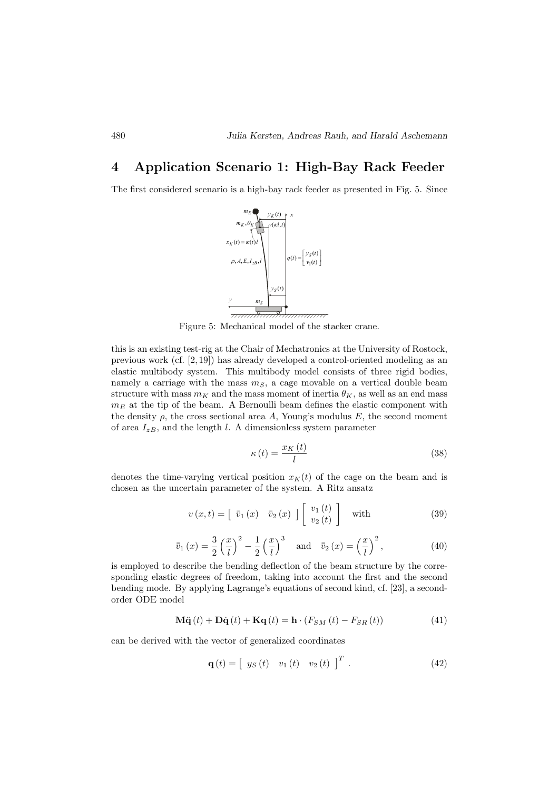# 4 Application Scenario 1: High-Bay Rack Feeder

The first considered scenario is a high-bay rack feeder as presented in Fig. 5. Since



Figure 5: Mechanical model of the stacker crane.

this is an existing test-rig at the Chair of Mechatronics at the University of Rostock, previous work (cf. [2, 19]) has already developed a control-oriented modeling as an elastic multibody system. This multibody model consists of three rigid bodies, namely a carriage with the mass  $m<sub>S</sub>$ , a cage movable on a vertical double beam structure with mass  $m_K$  and the mass moment of inertia  $\theta_K$ , as well as an end mass  $m_E$  at the tip of the beam. A Bernoulli beam defines the elastic component with the density  $\rho$ , the cross sectional area A, Young's modulus E, the second moment of area  $I_{zB}$ , and the length l. A dimensionless system parameter

$$
\kappa\left(t\right) = \frac{x_K\left(t\right)}{l} \tag{38}
$$

denotes the time-varying vertical position  $x<sub>K</sub>(t)$  of the cage on the beam and is chosen as the uncertain parameter of the system. A Ritz ansatz

$$
v(x,t) = \begin{bmatrix} \bar{v}_1(x) & \bar{v}_2(x) \end{bmatrix} \begin{bmatrix} v_1(t) \\ v_2(t) \end{bmatrix} \text{ with } (39)
$$

$$
\bar{v}_1(x) = \frac{3}{2} \left(\frac{x}{l}\right)^2 - \frac{1}{2} \left(\frac{x}{l}\right)^3 \quad \text{and} \quad \bar{v}_2(x) = \left(\frac{x}{l}\right)^2,\tag{40}
$$

is employed to describe the bending deflection of the beam structure by the corresponding elastic degrees of freedom, taking into account the first and the second bending mode. By applying Lagrange's equations of second kind, cf. [23], a secondorder ODE model

$$
\mathbf{M}\ddot{\mathbf{q}}(t) + \mathbf{D}\dot{\mathbf{q}}(t) + \mathbf{K}\mathbf{q}(t) = \mathbf{h} \cdot (F_{SM}(t) - F_{SR}(t))
$$
\n(41)

can be derived with the vector of generalized coordinates

$$
\mathbf{q}(t) = \begin{bmatrix} y_S(t) & v_1(t) & v_2(t) \end{bmatrix}^T.
$$
 (42)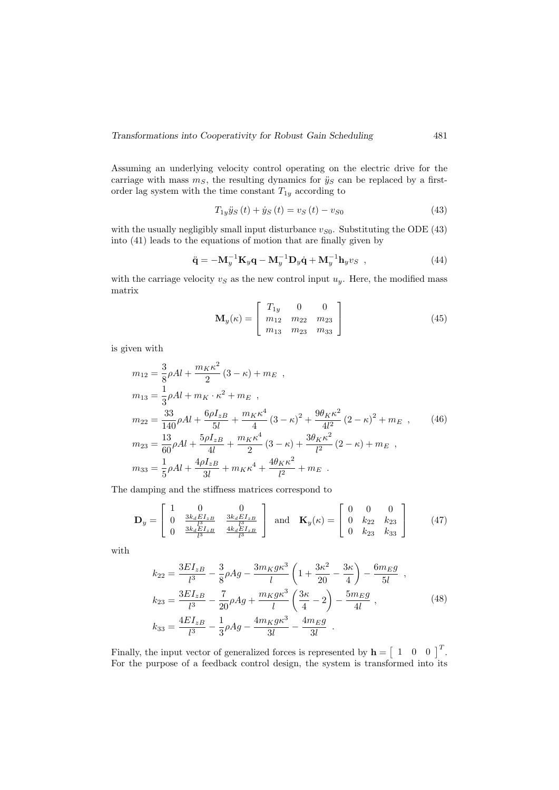Assuming an underlying velocity control operating on the electric drive for the carriage with mass  $m<sub>S</sub>$ , the resulting dynamics for  $\ddot{y}_S$  can be replaced by a firstorder lag system with the time constant  $T_{1y}$  according to

$$
T_{1y}\ddot{y}_S(t) + \dot{y}_S(t) = v_S(t) - v_{S0}
$$
\n(43)

with the usually negligibly small input disturbance  $v_{S0}$ . Substituting the ODE (43) into (41) leads to the equations of motion that are finally given by

$$
\ddot{\mathbf{q}} = -\mathbf{M}_y^{-1} \mathbf{K}_y \mathbf{q} - \mathbf{M}_y^{-1} \mathbf{D}_y \dot{\mathbf{q}} + \mathbf{M}_y^{-1} \mathbf{h}_y v_S , \qquad (44)
$$

with the carriage velocity  $v<sub>S</sub>$  as the new control input  $u<sub>y</sub>$ . Here, the modified mass matrix

$$
\mathbf{M}_{y}(\kappa) = \begin{bmatrix} T_{1y} & 0 & 0 \\ m_{12} & m_{22} & m_{23} \\ m_{13} & m_{23} & m_{33} \end{bmatrix}
$$
 (45)

is given with

$$
m_{12} = \frac{3}{8}\rho Al + \frac{m_K \kappa^2}{2} (3 - \kappa) + m_E ,
$$
  
\n
$$
m_{13} = \frac{1}{3}\rho Al + m_K \cdot \kappa^2 + m_E ,
$$
  
\n
$$
m_{22} = \frac{33}{140}\rho Al + \frac{6\rho I_{zB}}{5l} + \frac{m_K \kappa^4}{4} (3 - \kappa)^2 + \frac{9\theta_K \kappa^2}{4l^2} (2 - \kappa)^2 + m_E ,
$$
  
\n
$$
m_{23} = \frac{13}{60}\rho Al + \frac{5\rho I_{zB}}{4l} + \frac{m_K \kappa^4}{2} (3 - \kappa) + \frac{3\theta_K \kappa^2}{l^2} (2 - \kappa) + m_E ,
$$
  
\n
$$
m_{33} = \frac{1}{5}\rho Al + \frac{4\rho I_{zB}}{3l} + m_K \kappa^4 + \frac{4\theta_K \kappa^2}{l^2} + m_E .
$$

The damping and the stiffness matrices correspond to

$$
\mathbf{D}_{y} = \begin{bmatrix} 1 & 0 & 0 \\ 0 & \frac{3k_{d}E I_{zB}}{l^{3}} & \frac{3k_{d}E I_{zB}}{l^{3}} \\ 0 & \frac{3k_{d}E I_{zB}}{l^{3}} & \frac{4k_{d}E I_{zB}}{l^{3}} \end{bmatrix} \text{ and } \mathbf{K}_{y}(\kappa) = \begin{bmatrix} 0 & 0 & 0 \\ 0 & k_{22} & k_{23} \\ 0 & k_{23} & k_{33} \end{bmatrix}
$$
(47)

with

$$
k_{22} = \frac{3EI_{zB}}{l^3} - \frac{3}{8}\rho Ag - \frac{3m_Kg\kappa^3}{l} \left(1 + \frac{3\kappa^2}{20} - \frac{3\kappa}{4}\right) - \frac{6m_Eg}{5l} ,
$$
  
\n
$$
k_{23} = \frac{3EI_{zB}}{l^3} - \frac{7}{20}\rho Ag + \frac{m_Kg\kappa^3}{l} \left(\frac{3\kappa}{4} - 2\right) - \frac{5m_Eg}{4l} ,
$$
  
\n
$$
k_{33} = \frac{4EI_{zB}}{l^3} - \frac{1}{3}\rho Ag - \frac{4m_Kg\kappa^3}{3l} - \frac{4m_Eg}{3l} .
$$
\n(48)

Finally, the input vector of generalized forces is represented by  $\mathbf{h} = \begin{bmatrix} 1 & 0 & 0 \end{bmatrix}^T$ . For the purpose of a feedback control design, the system is transformed into its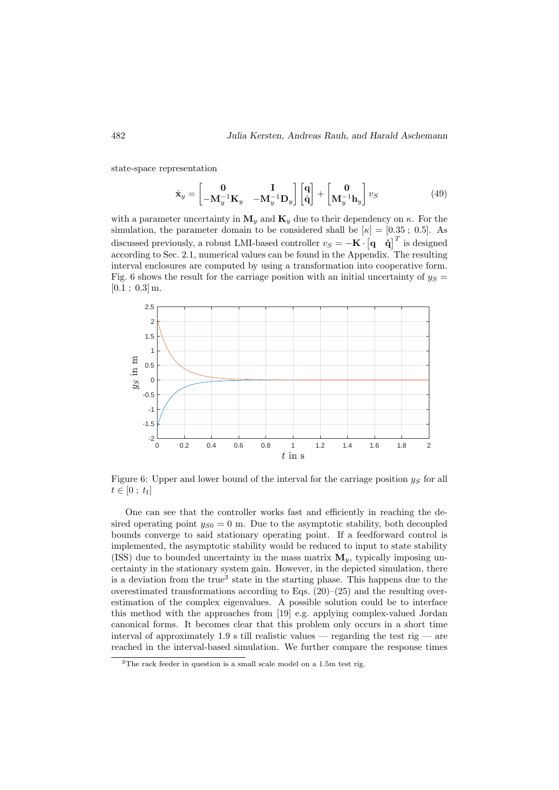state-space representation

$$
\dot{\mathbf{x}}_{y} = \begin{bmatrix} \mathbf{0} & \mathbf{I} \\ -\mathbf{M}_{y}^{-1}\mathbf{K}_{y} & -\mathbf{M}_{y}^{-1}\mathbf{D}_{y} \end{bmatrix} \begin{bmatrix} \mathbf{q} \\ \dot{\mathbf{q}} \end{bmatrix} + \begin{bmatrix} \mathbf{0} \\ \mathbf{M}_{y}^{-1}\mathbf{h}_{y} \end{bmatrix} v_{S}
$$
(49)

with a parameter uncertainty in  $M_y$  and  $K_y$  due to their dependency on  $\kappa$ . For the simulation, the parameter domain to be considered shall be  $[\kappa] = [0.35 \; ; \; 0.5]$ . As discussed previously, a robust LMI-based controller  $v_S = -\mathbf{K} \cdot \begin{bmatrix} \mathbf{q} & \dot{\mathbf{q}} \end{bmatrix}^T$  is designed according to Sec. 2.1, numerical values can be found in the Appendix. The resulting interval enclosures are computed by using a transformation into cooperative form. Fig. 6 shows the result for the carriage position with an initial uncertainty of  $y_S =$  $[0.1; 0.3]$  m.



Figure 6: Upper and lower bound of the interval for the carriage position  $y_s$  for all  $t \in [0 \; ; \; t_{\rm f}]$ 

One can see that the controller works fast and efficiently in reaching the desired operating point  $y_{S0} = 0$  m. Due to the asymptotic stability, both decoupled bounds converge to said stationary operating point. If a feedforward control is implemented, the asymptotic stability would be reduced to input to state stability (ISS) due to bounded uncertainty in the mass matrix  $\mathbf{M}_y$ , typically imposing uncertainty in the stationary system gain. However, in the depicted simulation, there is a deviation from the true<sup>3</sup> state in the starting phase. This happens due to the overestimated transformations according to Eqs.  $(20)$ – $(25)$  and the resulting overestimation of the complex eigenvalues. A possible solution could be to interface this method with the approaches from [19] e.g. applying complex-valued Jordan canonical forms. It becomes clear that this problem only occurs in a short time interval of approximately 1.9 s till realistic values — regarding the test rig — are reached in the interval-based simulation. We further compare the response times

 $3$ The rack feeder in question is a small scale model on a 1.5m test rig.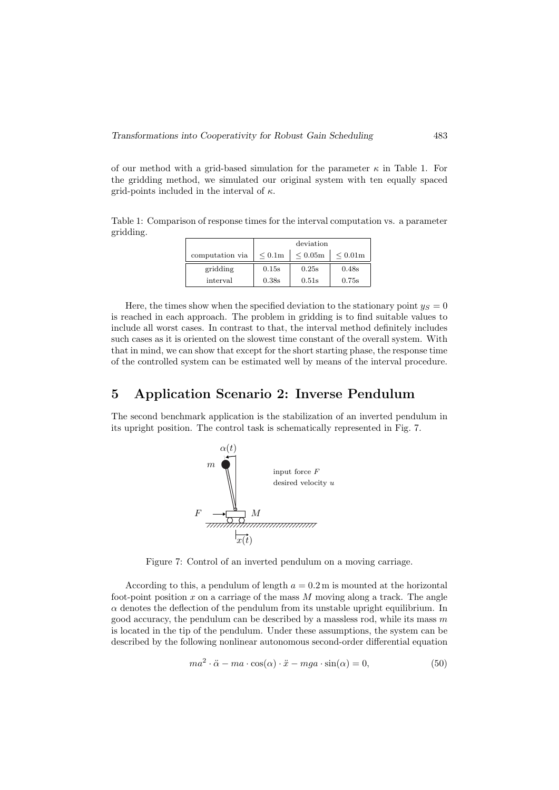of our method with a grid-based simulation for the parameter  $\kappa$  in Table 1. For the gridding method, we simulated our original system with ten equally spaced grid-points included in the interval of  $\kappa$ .

Table 1: Comparison of response times for the interval computation vs. a parameter gridding.

|                 | deviation |               |               |  |  |
|-----------------|-----------|---------------|---------------|--|--|
| computation via | < 0.1m    | $\leq 0.05$ m | $\leq 0.01$ m |  |  |
| gridding        | 0.15s     | 0.25s         | 0.48s         |  |  |
| interval        | 0.38s     | 0.51s         | 0.75s         |  |  |

Here, the times show when the specified deviation to the stationary point  $y_S = 0$ is reached in each approach. The problem in gridding is to find suitable values to include all worst cases. In contrast to that, the interval method definitely includes such cases as it is oriented on the slowest time constant of the overall system. With that in mind, we can show that except for the short starting phase, the response time of the controlled system can be estimated well by means of the interval procedure.

## 5 Application Scenario 2: Inverse Pendulum

The second benchmark application is the stabilization of an inverted pendulum in its upright position. The control task is schematically represented in Fig. 7.



Figure 7: Control of an inverted pendulum on a moving carriage.

According to this, a pendulum of length  $a = 0.2$  m is mounted at the horizontal foot-point position  $x$  on a carriage of the mass  $M$  moving along a track. The angle  $\alpha$  denotes the deflection of the pendulum from its unstable upright equilibrium. In good accuracy, the pendulum can be described by a massless rod, while its mass  $m$ is located in the tip of the pendulum. Under these assumptions, the system can be described by the following nonlinear autonomous second-order differential equation

$$
ma^{2} \cdot \ddot{\alpha} - ma \cdot \cos(\alpha) \cdot \ddot{x} - mga \cdot \sin(\alpha) = 0,
$$
\n(50)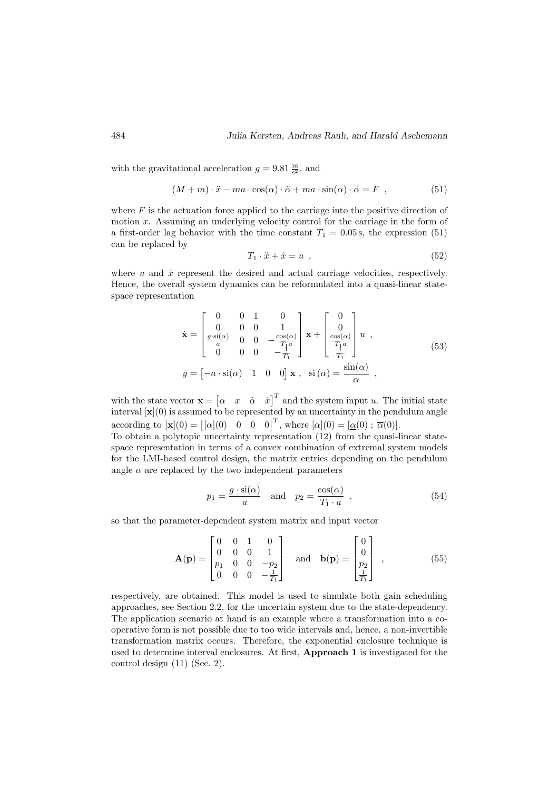with the gravitational acceleration  $g = 9.81 \frac{\text{m}}{\text{s}^2}$ , and

$$
(M+m)\cdot \ddot{x} - ma\cdot \cos(\alpha)\cdot \ddot{\alpha} + ma\cdot \sin(\alpha)\cdot \dot{\alpha} = F , \qquad (51)
$$

where  $F$  is the actuation force applied to the carriage into the positive direction of motion  $x$ . Assuming an underlying velocity control for the carriage in the form of a first-order lag behavior with the time constant  $T_1 = 0.05$  s, the expression (51) can be replaced by

$$
T_1 \cdot \ddot{x} + \dot{x} = u \tag{52}
$$

where  $u$  and  $\dot{x}$  represent the desired and actual carriage velocities, respectively. Hence, the overall system dynamics can be reformulated into a quasi-linear statespace representation

$$
\dot{\mathbf{x}} = \begin{bmatrix} 0 & 0 & 1 & 0 \\ 0 & 0 & 0 & 1 \\ \frac{g \cdot \sin(\alpha)}{a} & 0 & 0 & -\frac{\cos(\alpha)}{T_1 a} \\ 0 & 0 & 0 & -\frac{1}{T_1} \end{bmatrix} \mathbf{x} + \begin{bmatrix} 0 \\ 0 \\ \frac{\cos(\alpha)}{T_1 a} \\ \frac{1}{T_1} \end{bmatrix} u ,
$$
\n
$$
y = \begin{bmatrix} -a \cdot \sin(\alpha) & 1 & 0 & 0 \end{bmatrix} \mathbf{x} , \quad \sin(\alpha) = \frac{\sin(\alpha)}{\alpha} ,
$$
\n(53)

with the state vector  $\mathbf{x} = \begin{bmatrix} \alpha & x & \dot{\alpha} & \dot{x} \end{bmatrix}^T$  and the system input u. The initial state interval  $[\mathbf{x}](0)$  is assumed to be represented by an uncertainty in the pendulum angle according to  $[\mathbf{x}](0) = [[\alpha](0) \quad 0 \quad 0 \quad 0]^T$ , where  $[\alpha](0) = [\alpha(0) \, ; \, \overline{\alpha}(0)].$ 

To obtain a polytopic uncertainty representation (12) from the quasi-linear statespace representation in terms of a convex combination of extremal system models for the LMI-based control design, the matrix entries depending on the pendulum angle  $\alpha$  are replaced by the two independent parameters

$$
p_1 = \frac{g \cdot \text{si}(\alpha)}{a} \quad \text{and} \quad p_2 = \frac{\cos(\alpha)}{T_1 \cdot a} \quad , \tag{54}
$$

so that the parameter-dependent system matrix and input vector

$$
\mathbf{A}(\mathbf{p}) = \begin{bmatrix} 0 & 0 & 1 & 0 \\ 0 & 0 & 0 & 1 \\ p_1 & 0 & 0 & -p_2 \\ 0 & 0 & 0 & -\frac{1}{T_1} \end{bmatrix} \text{ and } \mathbf{b}(\mathbf{p}) = \begin{bmatrix} 0 \\ 0 \\ p_2 \\ \frac{1}{T_1} \end{bmatrix} ,
$$
 (55)

respectively, are obtained. This model is used to simulate both gain scheduling approaches, see Section 2.2, for the uncertain system due to the state-dependency. The application scenario at hand is an example where a transformation into a cooperative form is not possible due to too wide intervals and, hence, a non-invertible transformation matrix occurs. Therefore, the exponential enclosure technique is used to determine interval enclosures. At first, Approach 1 is investigated for the control design (11) (Sec. 2).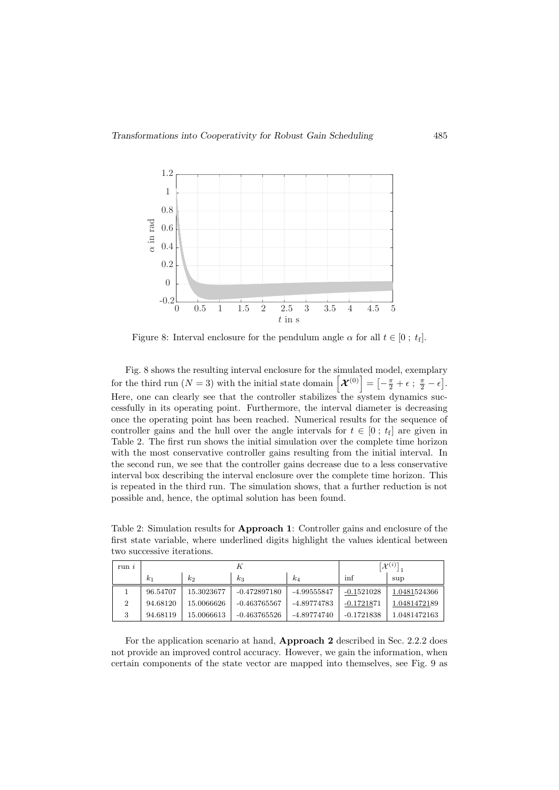

Figure 8: Interval enclosure for the pendulum angle  $\alpha$  for all  $t \in [0; t_f]$ .

Fig. 8 shows the resulting interval enclosure for the simulated model, exemplary for the third run  $(N = 3)$  with the initial state domain  $\left[ \mathcal{X}^{(0)} \right] = \left[ -\tfrac{\pi}{2} + \epsilon ~ ; ~ \tfrac{\pi}{2} - \epsilon \right].$ Here, one can clearly see that the controller stabilizes the system dynamics successfully in its operating point. Furthermore, the interval diameter is decreasing once the operating point has been reached. Numerical results for the sequence of controller gains and the hull over the angle intervals for  $t \in [0; t_f]$  are given in Table 2. The first run shows the initial simulation over the complete time horizon with the most conservative controller gains resulting from the initial interval. In the second run, we see that the controller gains decrease due to a less conservative interval box describing the interval enclosure over the complete time horizon. This is repeated in the third run. The simulation shows, that a further reduction is not possible and, hence, the optimal solution has been found.

Table 2: Simulation results for Approach 1: Controller gains and enclosure of the first state variable, where underlined digits highlight the values identical between two successive iterations.

| run <sub>i</sub> | n        |            |                | $\mathcal{X}^{(i)}$ |              |              |
|------------------|----------|------------|----------------|---------------------|--------------|--------------|
|                  | $k_1$    | $k_2$      | $k_3$          | $k_4$               | inf          | sup          |
|                  | 96.54707 | 15.3023677 | $-0.472897180$ | -4.99555847         | $-0.1521028$ | 1.0481524366 |
| $\overline{2}$   | 94.68120 | 15.0066626 | -0.463765567   | -4.89774783         | $-0.1721871$ | 1.0481472189 |
| 3                | 94.68119 | 15.0066613 | $-0.463765526$ | -4.89774740         | $-0.1721838$ | 1.0481472163 |

For the application scenario at hand, Approach 2 described in Sec. 2.2.2 does not provide an improved control accuracy. However, we gain the information, when certain components of the state vector are mapped into themselves, see Fig. 9 as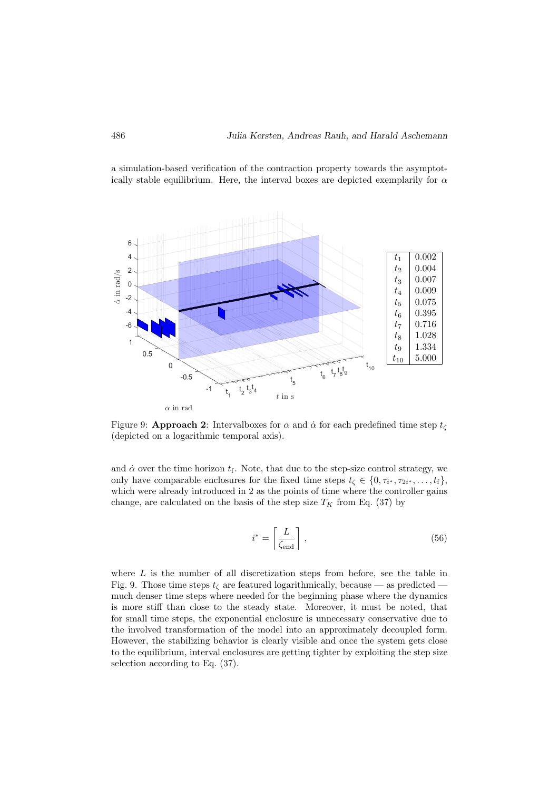a simulation-based verification of the contraction property towards the asymptotically stable equilibrium. Here, the interval boxes are depicted exemplarily for α



Figure 9: **Approach 2**: Interval boxes for  $\alpha$  and  $\dot{\alpha}$  for each predefined time step  $t_c$ (depicted on a logarithmic temporal axis).

and  $\dot{\alpha}$  over the time horizon  $t_f$ . Note, that due to the step-size control strategy, we only have comparable enclosures for the fixed time steps  $t_{\zeta} \in \{0, \tau_{i^*}, \tau_{2i^*}, \ldots, t_{f}\},$ which were already introduced in 2 as the points of time where the controller gains change, are calculated on the basis of the step size  $T_K$  from Eq. (37) by

$$
i^* = \left\lceil \frac{L}{\zeta_{\text{end}}}\right\rceil,\tag{56}
$$

where L is the number of all discretization steps from before, see the table in Fig. 9. Those time steps  $t_{\zeta}$  are featured logarithmically, because — as predicted much denser time steps where needed for the beginning phase where the dynamics is more stiff than close to the steady state. Moreover, it must be noted, that for small time steps, the exponential enclosure is unnecessary conservative due to the involved transformation of the model into an approximately decoupled form. However, the stabilizing behavior is clearly visible and once the system gets close to the equilibrium, interval enclosures are getting tighter by exploiting the step size selection according to Eq. (37).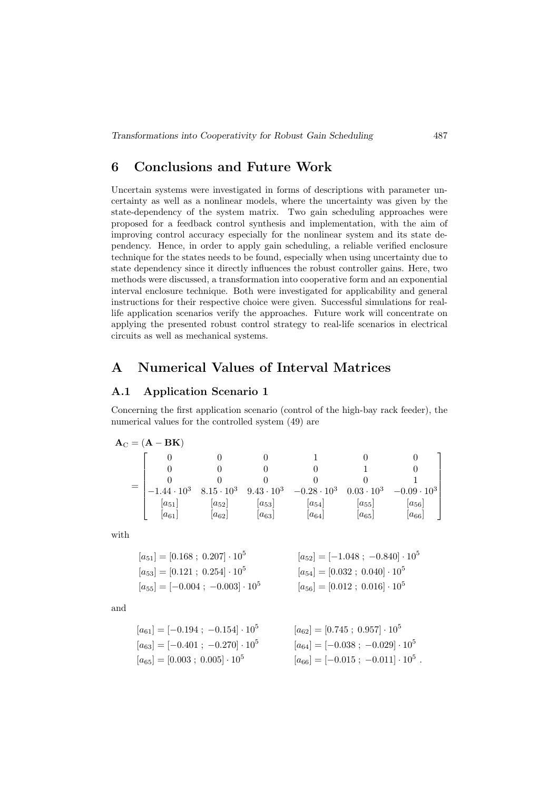### 6 Conclusions and Future Work

Uncertain systems were investigated in forms of descriptions with parameter uncertainty as well as a nonlinear models, where the uncertainty was given by the state-dependency of the system matrix. Two gain scheduling approaches were proposed for a feedback control synthesis and implementation, with the aim of improving control accuracy especially for the nonlinear system and its state dependency. Hence, in order to apply gain scheduling, a reliable verified enclosure technique for the states needs to be found, especially when using uncertainty due to state dependency since it directly influences the robust controller gains. Here, two methods were discussed, a transformation into cooperative form and an exponential interval enclosure technique. Both were investigated for applicability and general instructions for their respective choice were given. Successful simulations for reallife application scenarios verify the approaches. Future work will concentrate on applying the presented robust control strategy to real-life scenarios in electrical circuits as well as mechanical systems.

# A Numerical Values of Interval Matrices

#### A.1 Application Scenario 1

Concerning the first application scenario (control of the high-bay rack feeder), the numerical values for the controlled system (49) are

$$
\mathbf{A}_{\rm C} = (\mathbf{A} - \mathbf{B} \mathbf{K})
$$
\n
$$
= \begin{bmatrix}\n0 & 0 & 0 & 1 & 0 & 0 \\
0 & 0 & 0 & 0 & 1 & 0 \\
0 & 0 & 0 & 0 & 0 & 1 \\
-1.44 \cdot 10^3 & 8.15 \cdot 10^3 & 9.43 \cdot 10^3 & -0.28 \cdot 10^3 & 0.03 \cdot 10^3 & -0.09 \cdot 10^3 \\
[a_{51}] & [a_{52}] & [a_{53}] & [a_{54}] & [a_{55}] & [a_{56}] \\
[a_{61}] & [a_{62}] & [a_{63}] & [a_{64}] & [a_{65}] & [a_{66}]\n\end{bmatrix}
$$

with

$$
[a_{51}] = [0.168 \; ; \; 0.207] \cdot 10^5
$$
\n
$$
[a_{53}] = [0.121 \; ; \; 0.254] \cdot 10^5
$$
\n
$$
[a_{53}] = [-0.004 \; ; \; -0.003] \cdot 10^5
$$
\n
$$
[a_{54}] = [0.032 \; ; \; 0.040] \cdot 10^5
$$
\n
$$
[a_{55}] = [-0.004 \; ; \; -0.003] \cdot 10^5
$$
\n
$$
[a_{56}] = [0.012 \; ; \; 0.016] \cdot 10^5
$$

and

$$
[a_{61}] = [-0.194 \; ; \; -0.154] \cdot 10^5
$$
\n
$$
[a_{62}] = [0.745 \; ; \; 0.957] \cdot 10^5
$$
\n
$$
[a_{63}] = [-0.401 \; ; \; -0.270] \cdot 10^5
$$
\n
$$
[a_{64}] = [-0.038 \; ; \; -0.029] \cdot 10^5
$$
\n
$$
[a_{65}] = [0.003 \; ; \; 0.005] \cdot 10^5
$$
\n
$$
[a_{66}] = [-0.015 \; ; \; -0.011] \cdot 10^5
$$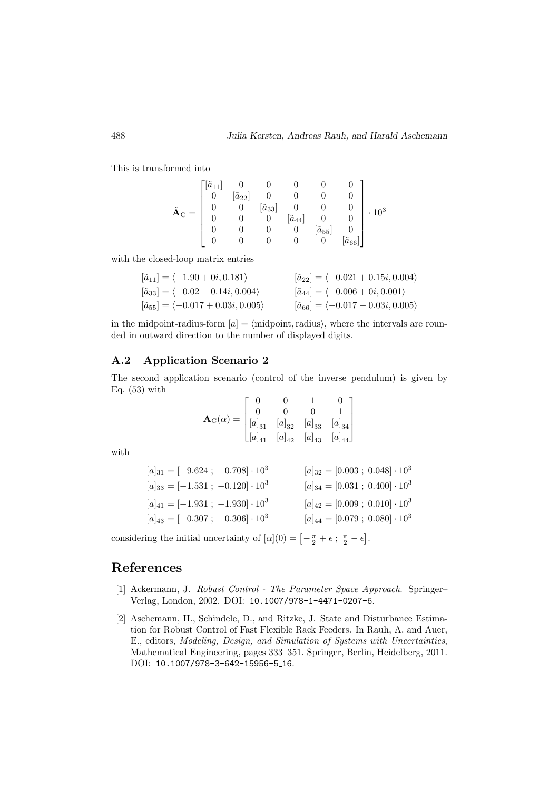This is transformed into

$$
\tilde{\mathbf{A}}_{\mathrm{C}} = \begin{bmatrix} [\tilde{a}_{11}] & 0 & 0 & 0 & 0 & 0 \\ 0 & [\tilde{a}_{22}] & 0 & 0 & 0 & 0 \\ 0 & 0 & [\tilde{a}_{33}] & 0 & 0 & 0 \\ 0 & 0 & 0 & [\tilde{a}_{44}] & 0 & 0 \\ 0 & 0 & 0 & 0 & [\tilde{a}_{55}] & 0 \\ 0 & 0 & 0 & 0 & 0 & [\tilde{a}_{66}] \end{bmatrix} \cdot 10^3
$$

with the closed-loop matrix entries

$$
\begin{aligned}\n[\tilde{a}_{11}] &= \langle -1.90 + 0i, 0.181 \rangle & [\tilde{a}_{22}] &= \langle -0.021 + 0.15i, 0.004 \rangle \\
[\tilde{a}_{33}] &= \langle -0.02 - 0.14i, 0.004 \rangle & [\tilde{a}_{44}] &= \langle -0.006 + 0i, 0.001 \rangle \\
[\tilde{a}_{55}] &= \langle -0.017 + 0.03i, 0.005 \rangle & [\tilde{a}_{66}] &= \langle -0.017 - 0.03i, 0.005 \rangle\n\end{aligned}
$$

in the midpoint-radius-form  $[a] = \langle \text{midpoint, radius} \rangle$ , where the intervals are rounded in outward direction to the number of displayed digits.

#### A.2 Application Scenario 2

The second application scenario (control of the inverse pendulum) is given by Eq.  $(53)$  with

$$
\mathbf{A}_{\mathrm{C}}(\alpha) = \begin{bmatrix} 0 & 0 & 1 & 0 \\ 0 & 0 & 0 & 1 \\ [a]_{31} & [a]_{32} & [a]_{33} & [a]_{34} \\ [a]_{41} & [a]_{42} & [a]_{43} & [a]_{44} \end{bmatrix}
$$

with

$$
[a]_{31} = [-9.624; -0.708] \cdot 10^{3}
$$
\n
$$
[a]_{32} = [0.003; 0.048] \cdot 10^{3}
$$
\n
$$
[a]_{33} = [-1.531; -0.120] \cdot 10^{3}
$$
\n
$$
[a]_{41} = [-1.931; -1.930] \cdot 10^{3}
$$
\n
$$
[a]_{42} = [0.009; 0.010] \cdot 10^{3}
$$
\n
$$
[a]_{43} = [-0.307; -0.306] \cdot 10^{3}
$$
\n
$$
[a]_{44} = [0.079; 0.080] \cdot 10^{3}
$$

considering the initial uncertainty of  $[\alpha](0) = \left[-\frac{\pi}{2} + \epsilon \, ; \, \frac{\pi}{2} - \epsilon\right]$ .

## References

- [1] Ackermann, J. Robust Control The Parameter Space Approach. Springer– Verlag, London, 2002. DOI: 10.1007/978-1-4471-0207-6.
- [2] Aschemann, H., Schindele, D., and Ritzke, J. State and Disturbance Estimation for Robust Control of Fast Flexible Rack Feeders. In Rauh, A. and Auer, E., editors, Modeling, Design, and Simulation of Systems with Uncertainties, Mathematical Engineering, pages 333–351. Springer, Berlin, Heidelberg, 2011. DOI: 10.1007/978-3-642-15956-5<sub>-16</sub>.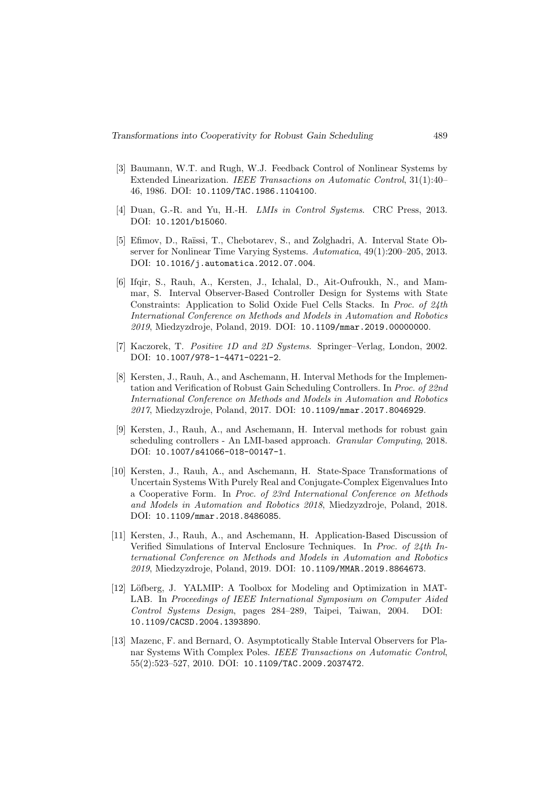- [3] Baumann, W.T. and Rugh, W.J. Feedback Control of Nonlinear Systems by Extended Linearization. IEEE Transactions on Automatic Control, 31(1):40– 46, 1986. DOI: 10.1109/TAC.1986.1104100.
- [4] Duan, G.-R. and Yu, H.-H. *LMIs in Control Systems.* CRC Press, 2013. DOI: 10.1201/b15060.
- [5] Efimov, D., Raïssi, T., Chebotarev, S., and Zolghadri, A. Interval State Observer for Nonlinear Time Varying Systems. Automatica, 49(1):200–205, 2013. DOI: 10.1016/j.automatica.2012.07.004.
- [6] Ifqir, S., Rauh, A., Kersten, J., Ichalal, D., Ait-Oufroukh, N., and Mammar, S. Interval Observer-Based Controller Design for Systems with State Constraints: Application to Solid Oxide Fuel Cells Stacks. In Proc. of 24th International Conference on Methods and Models in Automation and Robotics 2019, Miedzyzdroje, Poland, 2019. DOI: 10.1109/mmar.2019.00000000.
- [7] Kaczorek, T. Positive 1D and 2D Systems. Springer-Verlag, London, 2002. DOI: 10.1007/978-1-4471-0221-2.
- [8] Kersten, J., Rauh, A., and Aschemann, H. Interval Methods for the Implementation and Verification of Robust Gain Scheduling Controllers. In Proc. of 22nd International Conference on Methods and Models in Automation and Robotics 2017, Miedzyzdroje, Poland, 2017. DOI: 10.1109/mmar.2017.8046929.
- [9] Kersten, J., Rauh, A., and Aschemann, H. Interval methods for robust gain scheduling controllers - An LMI-based approach. Granular Computing, 2018. DOI: 10.1007/s41066-018-00147-1.
- [10] Kersten, J., Rauh, A., and Aschemann, H. State-Space Transformations of Uncertain Systems With Purely Real and Conjugate-Complex Eigenvalues Into a Cooperative Form. In Proc. of 23rd International Conference on Methods and Models in Automation and Robotics 2018, Miedzyzdroje, Poland, 2018. DOI: 10.1109/mmar.2018.8486085.
- [11] Kersten, J., Rauh, A., and Aschemann, H. Application-Based Discussion of Verified Simulations of Interval Enclosure Techniques. In Proc. of 24th International Conference on Methods and Models in Automation and Robotics 2019, Miedzyzdroje, Poland, 2019. DOI: 10.1109/MMAR.2019.8864673.
- [12] Löfberg, J. YALMIP: A Toolbox for Modeling and Optimization in MAT-LAB. In Proceedings of IEEE International Symposium on Computer Aided Control Systems Design, pages 284–289, Taipei, Taiwan, 2004. DOI: 10.1109/CACSD.2004.1393890.
- [13] Mazenc, F. and Bernard, O. Asymptotically Stable Interval Observers for Planar Systems With Complex Poles. IEEE Transactions on Automatic Control, 55(2):523–527, 2010. DOI: 10.1109/TAC.2009.2037472.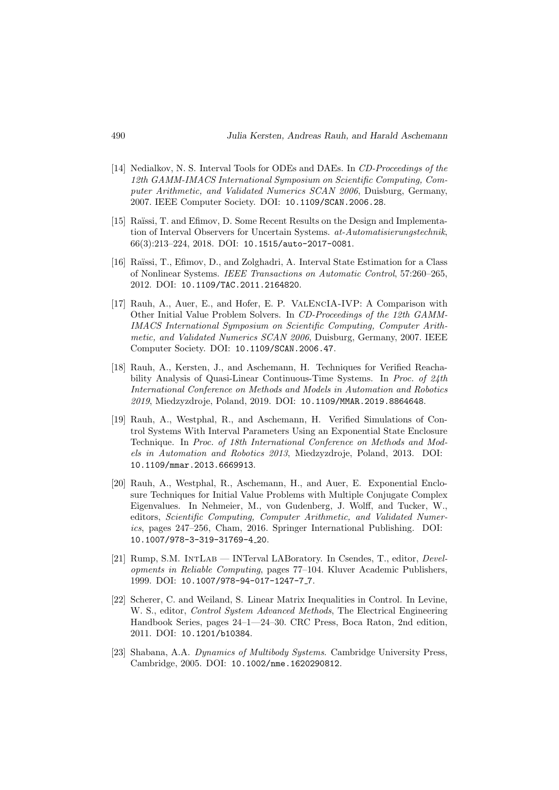- [14] Nedialkov, N. S. Interval Tools for ODEs and DAEs. In CD-Proceedings of the 12th GAMM-IMACS International Symposium on Scientific Computing, Computer Arithmetic, and Validated Numerics SCAN 2006, Duisburg, Germany, 2007. IEEE Computer Society. DOI: 10.1109/SCAN.2006.28.
- [15] Raïssi, T. and Efimov, D. Some Recent Results on the Design and Implementation of Interval Observers for Uncertain Systems. at-Automatisierungstechnik, 66(3):213–224, 2018. DOI: 10.1515/auto-2017-0081.
- [16] Ra¨ıssi, T., Efimov, D., and Zolghadri, A. Interval State Estimation for a Class of Nonlinear Systems. IEEE Transactions on Automatic Control, 57:260–265, 2012. DOI: 10.1109/TAC.2011.2164820.
- [17] Rauh, A., Auer, E., and Hofer, E. P. ValEncIA-IVP: A Comparison with Other Initial Value Problem Solvers. In CD-Proceedings of the 12th GAMM-IMACS International Symposium on Scientific Computing, Computer Arithmetic, and Validated Numerics SCAN 2006, Duisburg, Germany, 2007. IEEE Computer Society. DOI: 10.1109/SCAN.2006.47.
- [18] Rauh, A., Kersten, J., and Aschemann, H. Techniques for Verified Reachability Analysis of Quasi-Linear Continuous-Time Systems. In Proc. of 24th International Conference on Methods and Models in Automation and Robotics 2019, Miedzyzdroje, Poland, 2019. DOI: 10.1109/MMAR.2019.8864648.
- [19] Rauh, A., Westphal, R., and Aschemann, H. Verified Simulations of Control Systems With Interval Parameters Using an Exponential State Enclosure Technique. In Proc. of 18th International Conference on Methods and Models in Automation and Robotics 2013, Miedzyzdroje, Poland, 2013. DOI: 10.1109/mmar.2013.6669913.
- [20] Rauh, A., Westphal, R., Aschemann, H., and Auer, E. Exponential Enclosure Techniques for Initial Value Problems with Multiple Conjugate Complex Eigenvalues. In Nehmeier, M., von Gudenberg, J. Wolff, and Tucker, W., editors, Scientific Computing, Computer Arithmetic, and Validated Numerics, pages 247–256, Cham, 2016. Springer International Publishing. DOI: 10.1007/978-3-319-31769-4 20.
- [21] Rump, S.M. INTLAB INTerval LABoratory. In Csendes, T., editor, Developments in Reliable Computing, pages 77–104. Kluver Academic Publishers, 1999. DOI: 10.1007/978-94-017-1247-7<sub>-</sub>7.
- [22] Scherer, C. and Weiland, S. Linear Matrix Inequalities in Control. In Levine, W. S., editor, Control System Advanced Methods, The Electrical Engineering Handbook Series, pages 24–1—24–30. CRC Press, Boca Raton, 2nd edition, 2011. DOI: 10.1201/b10384.
- [23] Shabana, A.A. Dynamics of Multibody Systems. Cambridge University Press, Cambridge, 2005. DOI: 10.1002/nme.1620290812.